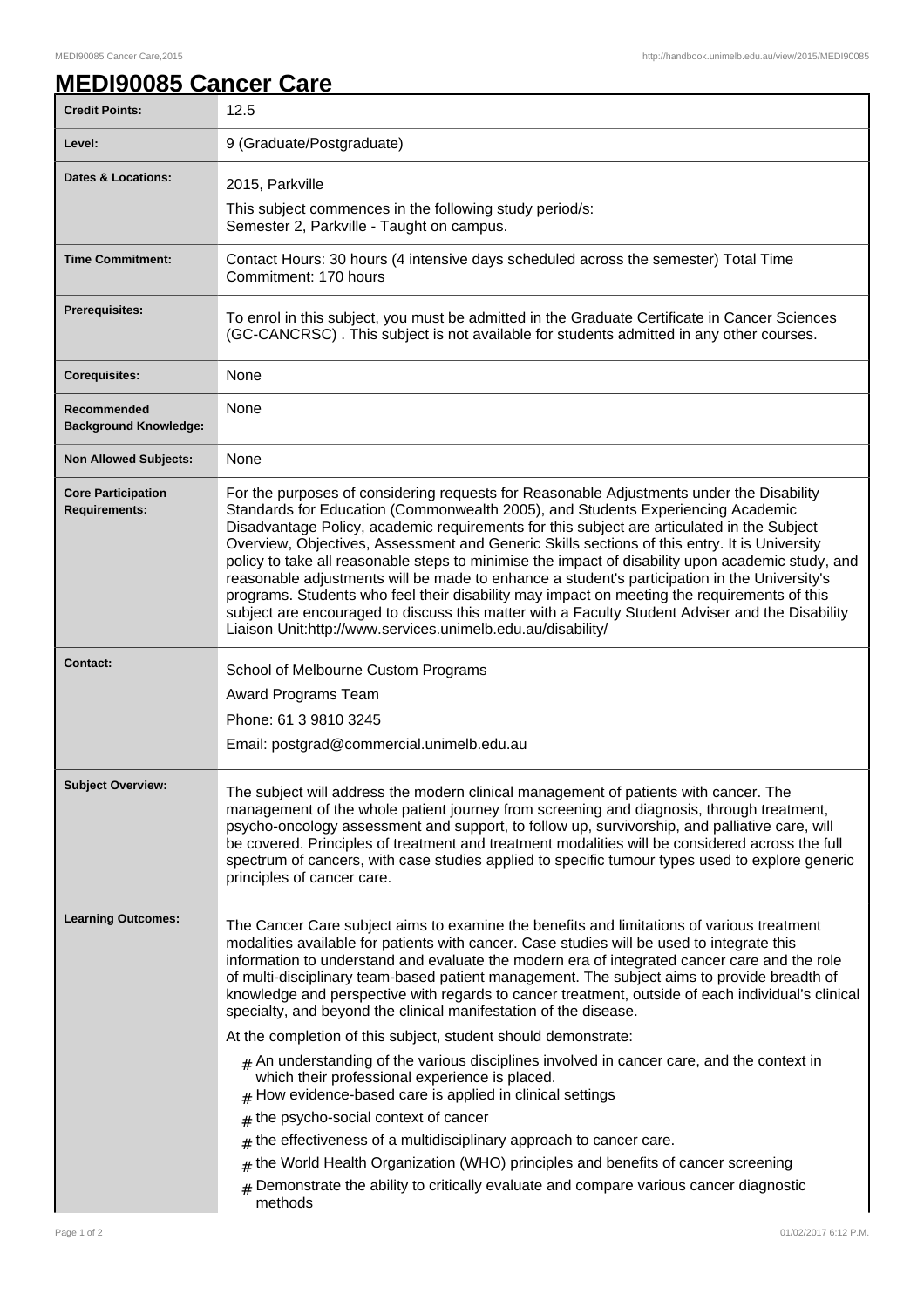## **MEDI90085 Cancer Care**

| <b>Credit Points:</b>                             | 12.5                                                                                                                                                                                                                                                                                                                                                                                                                                                                                                                                                                                                                                                                                                                                                                                                                                                                                                                                                                                                                                                                                                                                                                        |
|---------------------------------------------------|-----------------------------------------------------------------------------------------------------------------------------------------------------------------------------------------------------------------------------------------------------------------------------------------------------------------------------------------------------------------------------------------------------------------------------------------------------------------------------------------------------------------------------------------------------------------------------------------------------------------------------------------------------------------------------------------------------------------------------------------------------------------------------------------------------------------------------------------------------------------------------------------------------------------------------------------------------------------------------------------------------------------------------------------------------------------------------------------------------------------------------------------------------------------------------|
| Level:                                            | 9 (Graduate/Postgraduate)                                                                                                                                                                                                                                                                                                                                                                                                                                                                                                                                                                                                                                                                                                                                                                                                                                                                                                                                                                                                                                                                                                                                                   |
| <b>Dates &amp; Locations:</b>                     | 2015, Parkville                                                                                                                                                                                                                                                                                                                                                                                                                                                                                                                                                                                                                                                                                                                                                                                                                                                                                                                                                                                                                                                                                                                                                             |
|                                                   | This subject commences in the following study period/s:<br>Semester 2, Parkville - Taught on campus.                                                                                                                                                                                                                                                                                                                                                                                                                                                                                                                                                                                                                                                                                                                                                                                                                                                                                                                                                                                                                                                                        |
| <b>Time Commitment:</b>                           | Contact Hours: 30 hours (4 intensive days scheduled across the semester) Total Time<br>Commitment: 170 hours                                                                                                                                                                                                                                                                                                                                                                                                                                                                                                                                                                                                                                                                                                                                                                                                                                                                                                                                                                                                                                                                |
| <b>Prerequisites:</b>                             | To enrol in this subject, you must be admitted in the Graduate Certificate in Cancer Sciences<br>(GC-CANCRSC). This subject is not available for students admitted in any other courses.                                                                                                                                                                                                                                                                                                                                                                                                                                                                                                                                                                                                                                                                                                                                                                                                                                                                                                                                                                                    |
| <b>Corequisites:</b>                              | None                                                                                                                                                                                                                                                                                                                                                                                                                                                                                                                                                                                                                                                                                                                                                                                                                                                                                                                                                                                                                                                                                                                                                                        |
| Recommended<br><b>Background Knowledge:</b>       | None                                                                                                                                                                                                                                                                                                                                                                                                                                                                                                                                                                                                                                                                                                                                                                                                                                                                                                                                                                                                                                                                                                                                                                        |
| <b>Non Allowed Subjects:</b>                      | None                                                                                                                                                                                                                                                                                                                                                                                                                                                                                                                                                                                                                                                                                                                                                                                                                                                                                                                                                                                                                                                                                                                                                                        |
| <b>Core Participation</b><br><b>Requirements:</b> | For the purposes of considering requests for Reasonable Adjustments under the Disability<br>Standards for Education (Commonwealth 2005), and Students Experiencing Academic<br>Disadvantage Policy, academic requirements for this subject are articulated in the Subject<br>Overview, Objectives, Assessment and Generic Skills sections of this entry. It is University<br>policy to take all reasonable steps to minimise the impact of disability upon academic study, and<br>reasonable adjustments will be made to enhance a student's participation in the University's<br>programs. Students who feel their disability may impact on meeting the requirements of this<br>subject are encouraged to discuss this matter with a Faculty Student Adviser and the Disability<br>Liaison Unit:http://www.services.unimelb.edu.au/disability/                                                                                                                                                                                                                                                                                                                             |
| <b>Contact:</b>                                   | School of Melbourne Custom Programs<br>Award Programs Team<br>Phone: 61 3 9810 3245<br>Email: postgrad@commercial.unimelb.edu.au                                                                                                                                                                                                                                                                                                                                                                                                                                                                                                                                                                                                                                                                                                                                                                                                                                                                                                                                                                                                                                            |
| <b>Subject Overview:</b>                          | The subject will address the modern clinical management of patients with cancer. The<br>management of the whole patient journey from screening and diagnosis, through treatment,<br>psycho-oncology assessment and support, to follow up, survivorship, and palliative care, will<br>be covered. Principles of treatment and treatment modalities will be considered across the full<br>spectrum of cancers, with case studies applied to specific tumour types used to explore generic<br>principles of cancer care.                                                                                                                                                                                                                                                                                                                                                                                                                                                                                                                                                                                                                                                       |
| <b>Learning Outcomes:</b>                         | The Cancer Care subject aims to examine the benefits and limitations of various treatment<br>modalities available for patients with cancer. Case studies will be used to integrate this<br>information to understand and evaluate the modern era of integrated cancer care and the role<br>of multi-disciplinary team-based patient management. The subject aims to provide breadth of<br>knowledge and perspective with regards to cancer treatment, outside of each individual's clinical<br>specialty, and beyond the clinical manifestation of the disease.<br>At the completion of this subject, student should demonstrate:<br>$_{\#}$ An understanding of the various disciplines involved in cancer care, and the context in<br>which their professional experience is placed.<br>$#$ How evidence-based care is applied in clinical settings<br>the psycho-social context of cancer<br>#<br>the effectiveness of a multidisciplinary approach to cancer care.<br>#<br>the World Health Organization (WHO) principles and benefits of cancer screening<br>#<br>Demonstrate the ability to critically evaluate and compare various cancer diagnostic<br>#<br>methods |